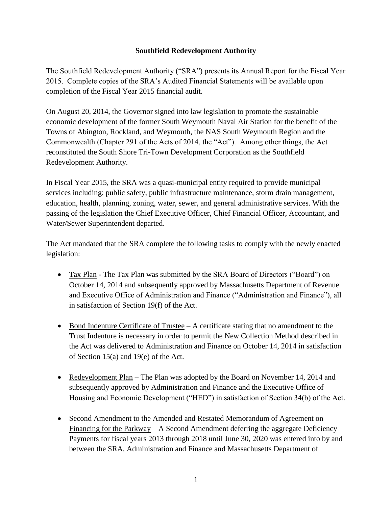# **Southfield Redevelopment Authority**

The Southfield Redevelopment Authority ("SRA") presents its Annual Report for the Fiscal Year 2015. Complete copies of the SRA's Audited Financial Statements will be available upon completion of the Fiscal Year 2015 financial audit.

On August 20, 2014, the Governor signed into law legislation to promote the sustainable economic development of the former South Weymouth Naval Air Station for the benefit of the Towns of Abington, Rockland, and Weymouth, the NAS South Weymouth Region and the Commonwealth (Chapter 291 of the Acts of 2014, the "Act"). Among other things, the Act reconstituted the South Shore Tri-Town Development Corporation as the Southfield Redevelopment Authority.

In Fiscal Year 2015, the SRA was a quasi-municipal entity required to provide municipal services including: public safety, public infrastructure maintenance, storm drain management, education, health, planning, zoning, water, sewer, and general administrative services. With the passing of the legislation the Chief Executive Officer, Chief Financial Officer, Accountant, and Water/Sewer Superintendent departed.

The Act mandated that the SRA complete the following tasks to comply with the newly enacted legislation:

- Tax Plan The Tax Plan was submitted by the SRA Board of Directors ("Board") on October 14, 2014 and subsequently approved by Massachusetts Department of Revenue and Executive Office of Administration and Finance ("Administration and Finance"), all in satisfaction of Section 19(f) of the Act.
- Bond Indenture Certificate of Trustee A certificate stating that no amendment to the Trust Indenture is necessary in order to permit the New Collection Method described in the Act was delivered to Administration and Finance on October 14, 2014 in satisfaction of Section 15(a) and 19(e) of the Act.
- Redevelopment Plan The Plan was adopted by the Board on November 14, 2014 and subsequently approved by Administration and Finance and the Executive Office of Housing and Economic Development ("HED") in satisfaction of Section 34(b) of the Act.
- Second Amendment to the Amended and Restated Memorandum of Agreement on Financing for the Parkway – A Second Amendment deferring the aggregate Deficiency Payments for fiscal years 2013 through 2018 until June 30, 2020 was entered into by and between the SRA, Administration and Finance and Massachusetts Department of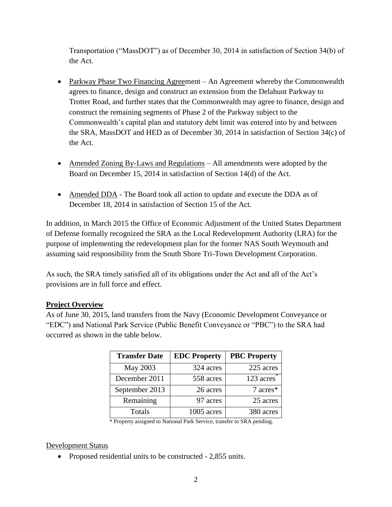Transportation ("MassDOT") as of December 30, 2014 in satisfaction of Section 34(b) of the Act.

- Parkway Phase Two Financing Agreement An Agreement whereby the Commonwealth agrees to finance, design and construct an extension from the Delahunt Parkway to Trotter Road, and further states that the Commonwealth may agree to finance, design and construct the remaining segments of Phase 2 of the Parkway subject to the Commonwealth's capital plan and statutory debt limit was entered into by and between the SRA, MassDOT and HED as of December 30, 2014 in satisfaction of Section 34(c) of the Act.
- Amended Zoning By-Laws and Regulations All amendments were adopted by the Board on December 15, 2014 in satisfaction of Section 14(d) of the Act.
- Amended DDA The Board took all action to update and execute the DDA as of December 18, 2014 in satisfaction of Section 15 of the Act.

In addition, in March 2015 the Office of Economic Adjustment of the United States Department of Defense formally recognized the SRA as the Local Redevelopment Authority (LRA) for the purpose of implementing the redevelopment plan for the former NAS South Weymouth and assuming said responsibility from the South Shore Tri-Town Development Corporation.

As such, the SRA timely satisfied all of its obligations under the Act and all of the Act's provisions are in full force and effect.

# **Project Overview**

As of June 30, 2015, land transfers from the Navy (Economic Development Conveyance or "EDC") and National Park Service (Public Benefit Conveyance or "PBC") to the SRA had occurred as shown in the table below.

| <b>Transfer Date</b> | <b>EDC</b> Property | <b>PBC Property</b> |
|----------------------|---------------------|---------------------|
| May 2003             | 324 acres           | 225 acres           |
| December 2011        | 558 acres           | 123 acres           |
| September 2013       | 26 acres            | 7 acres*            |
| Remaining            | 97 acres            | 25 acres            |
| Totals               | 1005 acres          | 380 acres           |

\* Property assigned to National Park Service, transfer to SRA pending.

# Development Status

• Proposed residential units to be constructed - 2,855 units.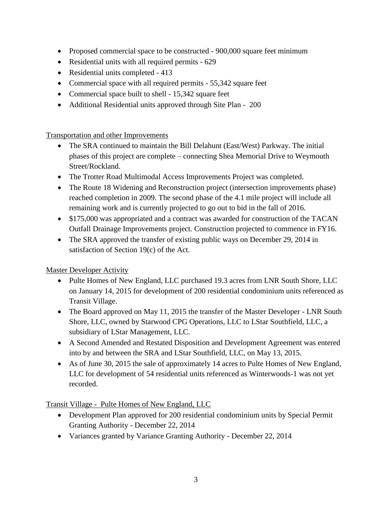- Proposed commercial space to be constructed 900,000 square feet minimum
- Residential units with all required permits 629
- Residential units completed 413
- Commercial space with all required permits 55,342 square feet
- Commercial space built to shell 15,342 square feet
- Additional Residential units approved through Site Plan 200

Transportation and other Improvements

- The SRA continued to maintain the Bill Delahunt (East/West) Parkway. The initial phases of this project are complete – connecting Shea Memorial Drive to Weymouth Street/Rockland.
- The Trotter Road Multimodal Access Improvements Project was completed.
- The Route 18 Widening and Reconstruction project (intersection improvements phase) reached completion in 2009. The second phase of the 4.1 mile project will include all remaining work and is currently projected to go out to bid in the fall of 2016.
- \$175,000 was appropriated and a contract was awarded for construction of the TACAN Outfall Drainage Improvements project. Construction projected to commence in FY16.
- The SRA approved the transfer of existing public ways on December 29, 2014 in satisfaction of Section 19(c) of the Act.

Master Developer Activity

- Pulte Homes of New England, LLC purchased 19.3 acres from LNR South Shore, LLC on January 14, 2015 for development of 200 residential condominium units referenced as Transit Village.
- The Board approved on May 11, 2015 the transfer of the Master Developer LNR South Shore, LLC, owned by Starwood CPG Operations, LLC to LStar Southfield, LLC, a subsidiary of LStar Management, LLC.
- A Second Amended and Restated Disposition and Development Agreement was entered into by and between the SRA and LStar Southfield, LLC, on May 13, 2015.
- As of June 30, 2015 the sale of approximately 14 acres to Pulte Homes of New England, LLC for development of 54 residential units referenced as Winterwoods-1 was not yet recorded.

Transit Village - Pulte Homes of New England, LLC

- Development Plan approved for 200 residential condominium units by Special Permit Granting Authority - December 22, 2014
- Variances granted by Variance Granting Authority December 22, 2014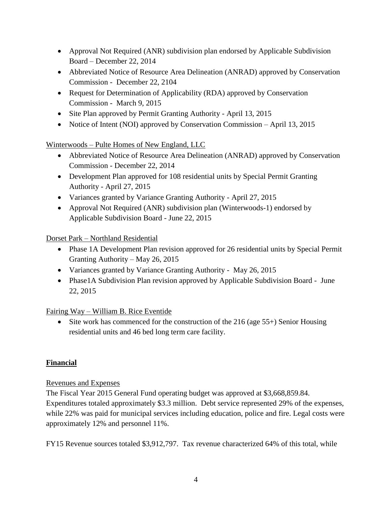- Approval Not Required (ANR) subdivision plan endorsed by Applicable Subdivision Board – December 22, 2014
- Abbreviated Notice of Resource Area Delineation (ANRAD) approved by Conservation Commission - December 22, 2104
- Request for Determination of Applicability (RDA) approved by Conservation Commission - March 9, 2015
- Site Plan approved by Permit Granting Authority April 13, 2015
- Notice of Intent (NOI) approved by Conservation Commission April 13, 2015

Winterwoods – Pulte Homes of New England, LLC

- Abbreviated Notice of Resource Area Delineation (ANRAD) approved by Conservation Commission - December 22, 2014
- Development Plan approved for 108 residential units by Special Permit Granting Authority - April 27, 2015
- Variances granted by Variance Granting Authority April 27, 2015
- Approval Not Required (ANR) subdivision plan (Winterwoods-1) endorsed by Applicable Subdivision Board - June 22, 2015

Dorset Park – Northland Residential

- Phase 1A Development Plan revision approved for 26 residential units by Special Permit Granting Authority – May 26, 2015
- Variances granted by Variance Granting Authority May 26, 2015
- Phase1A Subdivision Plan revision approved by Applicable Subdivision Board June 22, 2015

Fairing Way – William B. Rice Eventide

 $\bullet$  Site work has commenced for the construction of the 216 (age 55+) Senior Housing residential units and 46 bed long term care facility.

# **Financial**

# Revenues and Expenses

The Fiscal Year 2015 General Fund operating budget was approved at \$3,668,859.84. Expenditures totaled approximately \$3.3 million. Debt service represented 29% of the expenses, while 22% was paid for municipal services including education, police and fire. Legal costs were approximately 12% and personnel 11%.

FY15 Revenue sources totaled \$3,912,797. Tax revenue characterized 64% of this total, while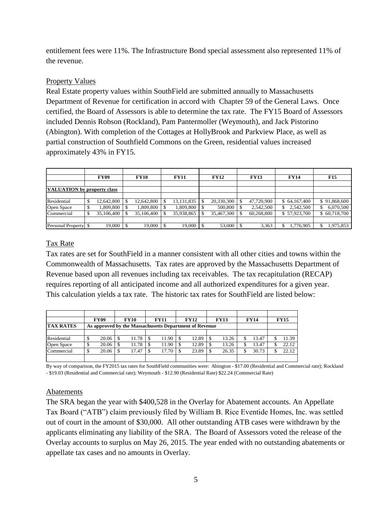entitlement fees were 11%. The Infrastructure Bond special assessment also represented 11% of the revenue.

### Property Values

Real Estate property values within SouthField are submitted annually to Massachusetts Department of Revenue for certification in accord with Chapter 59 of the General Laws. Once certified, the Board of Assessors is able to determine the tax rate. The FY15 Board of Assessors included Dennis Robson (Rockland), Pam Pantermoller (Weymouth), and Jack Pistorino (Abington). With completion of the Cottages at HollyBrook and Parkview Place, as well as partial construction of Southfield Commons on the Green, residential values increased approximately 43% in FY15.

|                                    |    | FY09       | <b>FY10</b> | <b>FY11</b>  | <b>FY12</b> | <b>FY13</b> | <b>FY14</b>  | <b>F15</b>      |
|------------------------------------|----|------------|-------------|--------------|-------------|-------------|--------------|-----------------|
|                                    |    |            |             |              |             |             |              |                 |
| <b>VALUATION</b> by property class |    |            |             |              |             |             |              |                 |
|                                    |    |            |             |              |             |             |              |                 |
| Residential                        | S  | 12,642,800 | 12,642,800  | 13, 131, 835 | 20,330,300  | 47,720,900  | \$64,167,400 | \$91,868,600    |
| Open Space                         | \$ | 1,809,800  | 1,809,800   | 1,809,800    | 500,800     | 2,542,500   | 2,542,500    | 6,070,500<br>\$ |
| Commercial                         | \$ | 35,106,400 | 35,106,400  | 35,938,865   | 35,467,300  | 60,268,800  | \$57,923,700 | \$60,718,700    |
|                                    |    |            |             |              |             |             |              |                 |
| Personal Property \\$              |    | 19,000     | 19,000      | 19,000       | 53,000      | 3,363       | 1,776,905    | 975,853         |

# Tax Rate

Tax rates are set for SouthField in a manner consistent with all other cities and towns within the Commonwealth of Massachusetts. Tax rates are approved by the Massachusetts Department of Revenue based upon all revenues including tax receivables. The tax recapitulation (RECAP) requires reporting of all anticipated income and all authorized expenditures for a given year. This calculation yields a tax rate. The historic tax rates for SouthField are listed below:

|                  |                                                        | <b>FY09</b> |  | <b>FY10</b> |  | <b>FY11</b> |  | <b>FY12</b> |  | <b>FY13</b> |  | <b>FY14</b> | <b>FY15</b> |
|------------------|--------------------------------------------------------|-------------|--|-------------|--|-------------|--|-------------|--|-------------|--|-------------|-------------|
| <b>TAX RATES</b> | As approved by the Massachusetts Department of Revenue |             |  |             |  |             |  |             |  |             |  |             |             |
|                  |                                                        |             |  |             |  |             |  |             |  |             |  |             |             |
| Residential      | \$                                                     | 20.06       |  | 11.78       |  | 11.90       |  | 12.89       |  | 13.26       |  | 13.47       | 11.39       |
| Open Space       | \$                                                     | 20.06       |  | 11.78       |  | 1.90        |  | 12.89       |  | 13.26       |  | 13.47       | 22.12       |
| Commercial       | \$                                                     | 20.06       |  | 17.47       |  | 17.70       |  | 23.89       |  | 26.35       |  | 30.73       | 22.12       |
|                  |                                                        |             |  |             |  |             |  |             |  |             |  |             |             |

By way of comparison, the FY2015 tax rates for SouthField communities were: Abington - \$17.00 (Residential and Commercial rate); Rockland - \$19.03 (Residential and Commercial rate); Weymouth - \$12.90 (Residential Rate) \$22.24 (Commercial Rate)

#### Abatements

The SRA began the year with \$400,528 in the Overlay for Abatement accounts. An Appellate Tax Board ("ATB") claim previously filed by William B. Rice Eventide Homes, Inc. was settled out of court in the amount of \$30,000. All other outstanding ATB cases were withdrawn by the applicants eliminating any liability of the SRA. The Board of Assessors voted the release of the Overlay accounts to surplus on May 26, 2015. The year ended with no outstanding abatements or appellate tax cases and no amounts in Overlay.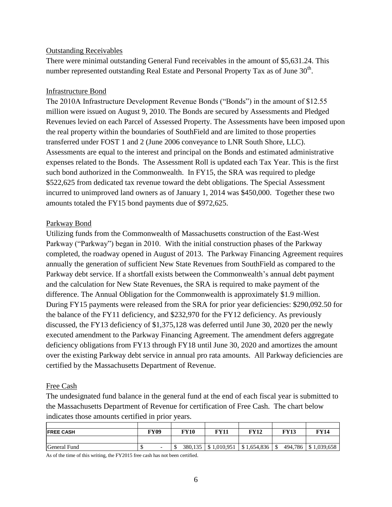#### Outstanding Receivables

There were minimal outstanding General Fund receivables in the amount of \$5,631.24. This number represented outstanding Real Estate and Personal Property Tax as of June  $30^{\text{th}}$ .

#### Infrastructure Bond

The 2010A Infrastructure Development Revenue Bonds ("Bonds") in the amount of \$12.55 million were issued on August 9, 2010. The Bonds are secured by Assessments and Pledged Revenues levied on each Parcel of Assessed Property. The Assessments have been imposed upon the real property within the boundaries of SouthField and are limited to those properties transferred under FOST 1 and 2 (June 2006 conveyance to LNR South Shore, LLC). Assessments are equal to the interest and principal on the Bonds and estimated administrative expenses related to the Bonds. The Assessment Roll is updated each Tax Year. This is the first such bond authorized in the Commonwealth. In FY15, the SRA was required to pledge \$522,625 from dedicated tax revenue toward the debt obligations. The Special Assessment incurred to unimproved land owners as of January 1, 2014 was \$450,000. Together these two amounts totaled the FY15 bond payments due of \$972,625.

#### Parkway Bond

Utilizing funds from the Commonwealth of Massachusetts construction of the East-West Parkway ("Parkway") began in 2010. With the initial construction phases of the Parkway completed, the roadway opened in August of 2013. The Parkway Financing Agreement requires annually the generation of sufficient New State Revenues from SouthField as compared to the Parkway debt service. If a shortfall exists between the Commonwealth's annual debt payment and the calculation for New State Revenues, the SRA is required to make payment of the difference. The Annual Obligation for the Commonwealth is approximately \$1.9 million. During FY15 payments were released from the SRA for prior year deficiencies: \$290,092.50 for the balance of the FY11 deficiency, and \$232,970 for the FY12 deficiency. As previously discussed, the FY13 deficiency of \$1,375,128 was deferred until June 30, 2020 per the newly executed amendment to the Parkway Financing Agreement. The amendment defers aggregate deficiency obligations from FY13 through FY18 until June 30, 2020 and amortizes the amount over the existing Parkway debt service in annual pro rata amounts. All Parkway deficiencies are certified by the Massachusetts Department of Revenue.

#### Free Cash

The undesignated fund balance in the general fund at the end of each fiscal year is submitted to the Massachusetts Department of Revenue for certification of Free Cash. The chart below indicates those amounts certified in prior years.

| <b>IFREE CASH</b> | FY09                             | <b>FY10</b> | FY11        | FY12        | FY13           | <b>FY14</b> |
|-------------------|----------------------------------|-------------|-------------|-------------|----------------|-------------|
|                   |                                  |             |             |             |                |             |
| General Fund      | $\overline{\phantom{0}}$<br>- 12 | 380,135     | \$1,010,951 | \$1,654,836 | 494,786<br>-\$ | \$1,039,658 |

As of the time of this writing, the FY2015 free cash has not been certified.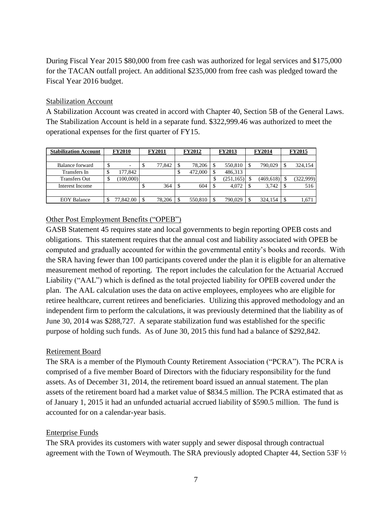During Fiscal Year 2015 \$80,000 from free cash was authorized for legal services and \$175,000 for the TACAN outfall project. An additional \$235,000 from free cash was pledged toward the Fiscal Year 2016 budget.

### Stabilization Account

A Stabilization Account was created in accord with Chapter 40, Section 5B of the General Laws. The Stabilization Account is held in a separate fund. \$322,999.46 was authorized to meet the operational expenses for the first quarter of FY15.

| <b>Stabilization Account</b> | <b>FY2010</b> |           | <b>FY2011</b> |        | <b>FY2012</b> |         |    | <b>FY2013</b> | <b>FY2014</b> |            | <b>FY2015</b> |           |
|------------------------------|---------------|-----------|---------------|--------|---------------|---------|----|---------------|---------------|------------|---------------|-----------|
|                              |               |           |               |        |               |         |    |               |               |            |               |           |
| Balance forward              | \$            | ٠         | ۰D            | 77,842 |               | 78.206  |    | 550,810       |               | 790,029    | \$            | 324,154   |
| Transfers In                 | Φ             | 177.842   |               |        | S             | 472,000 |    | 486,313       |               |            |               |           |
| <b>Transfers Out</b>         | S             | (100,000) |               |        |               |         | Φ  | (251, 165)    |               | (469, 618) |               | (322,999) |
| Interest Income              |               |           | Φ             | 364    | S             | 604     | -S | 4.072         |               | 3,742      | S             | 516       |
|                              |               |           |               |        |               |         |    |               |               |            |               |           |
| <b>EOY Balance</b>           |               | 77,842.00 |               | 78,206 |               | 550,810 |    | 790,029       |               | 324,154    | S             | 1,671     |

# Other Post Employment Benefits ("OPEB")

GASB Statement 45 requires state and local governments to begin reporting OPEB costs and obligations. This statement requires that the annual cost and liability associated with OPEB be computed and gradually accounted for within the governmental entity's books and records. With the SRA having fewer than 100 participants covered under the plan it is eligible for an alternative measurement method of reporting. The report includes the calculation for the Actuarial Accrued Liability ("AAL") which is defined as the total projected liability for OPEB covered under the plan. The AAL calculation uses the data on active employees, employees who are eligible for retiree healthcare, current retirees and beneficiaries. Utilizing this approved methodology and an independent firm to perform the calculations, it was previously determined that the liability as of June 30, 2014 was \$288,727. A separate stabilization fund was established for the specific purpose of holding such funds. As of June 30, 2015 this fund had a balance of \$292,842.

# Retirement Board

The SRA is a member of the Plymouth County Retirement Association ("PCRA"). The PCRA is comprised of a five member Board of Directors with the fiduciary responsibility for the fund assets. As of December 31, 2014, the retirement board issued an annual statement. The plan assets of the retirement board had a market value of \$834.5 million. The PCRA estimated that as of January 1, 2015 it had an unfunded actuarial accrued liability of \$590.5 million. The fund is accounted for on a calendar-year basis.

# Enterprise Funds

The SRA provides its customers with water supply and sewer disposal through contractual agreement with the Town of Weymouth. The SRA previously adopted Chapter 44, Section 53F ½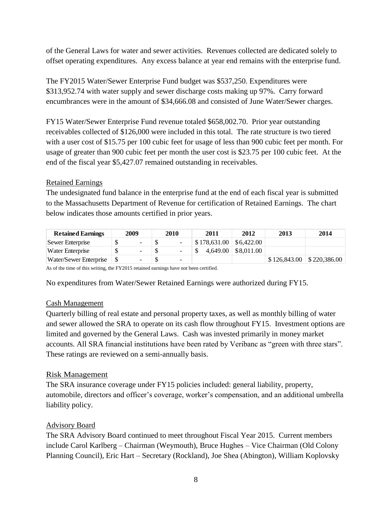of the General Laws for water and sewer activities. Revenues collected are dedicated solely to offset operating expenditures. Any excess balance at year end remains with the enterprise fund.

The FY2015 Water/Sewer Enterprise Fund budget was \$537,250. Expenditures were \$313,952.74 with water supply and sewer discharge costs making up 97%. Carry forward encumbrances were in the amount of \$34,666.08 and consisted of June Water/Sewer charges.

FY15 Water/Sewer Enterprise Fund revenue totaled \$658,002.70. Prior year outstanding receivables collected of \$126,000 were included in this total. The rate structure is two tiered with a user cost of \$15.75 per 100 cubic feet for usage of less than 900 cubic feet per month. For usage of greater than 900 cubic feet per month the user cost is \$23.75 per 100 cubic feet. At the end of the fiscal year \$5,427.07 remained outstanding in receivables.

# Retained Earnings

The undesignated fund balance in the enterprise fund at the end of each fiscal year is submitted to the Massachusetts Department of Revenue for certification of Retained Earnings. The chart below indicates those amounts certified in prior years.

| <b>Retained Earnings</b> | 2009                     | 2010                     | 2011 | 2012                            | 2013                            | 2014 |
|--------------------------|--------------------------|--------------------------|------|---------------------------------|---------------------------------|------|
| Sewer Enterprise         | $\overline{\phantom{a}}$ | $\overline{\phantom{a}}$ |      | $$178,631.00 \;   \; $6,422.00$ |                                 |      |
| Water Enterprise         | $\sim$                   | $\overline{\phantom{a}}$ |      | $4,649.00$ \$8,011.00           |                                 |      |
| Water/Sewer Enterprise   | $\overline{\phantom{0}}$ | $\overline{\phantom{0}}$ |      |                                 | $$126,843.00 \; \; $220,386.00$ |      |

As of the time of this writing, the FY2015 retained earnings have not been certified.

No expenditures from Water/Sewer Retained Earnings were authorized during FY15.

# Cash Management

Quarterly billing of real estate and personal property taxes, as well as monthly billing of water and sewer allowed the SRA to operate on its cash flow throughout FY15. Investment options are limited and governed by the General Laws. Cash was invested primarily in money market accounts. All SRA financial institutions have been rated by Veribanc as "green with three stars". These ratings are reviewed on a semi-annually basis.

# Risk Management

The SRA insurance coverage under FY15 policies included: general liability, property, automobile, directors and officer's coverage, worker's compensation, and an additional umbrella liability policy.

# Advisory Board

The SRA Advisory Board continued to meet throughout Fiscal Year 2015. Current members include Carol Karlberg – Chairman (Weymouth), Bruce Hughes – Vice Chairman (Old Colony Planning Council), Eric Hart – Secretary (Rockland), Joe Shea (Abington), William Koplovsky